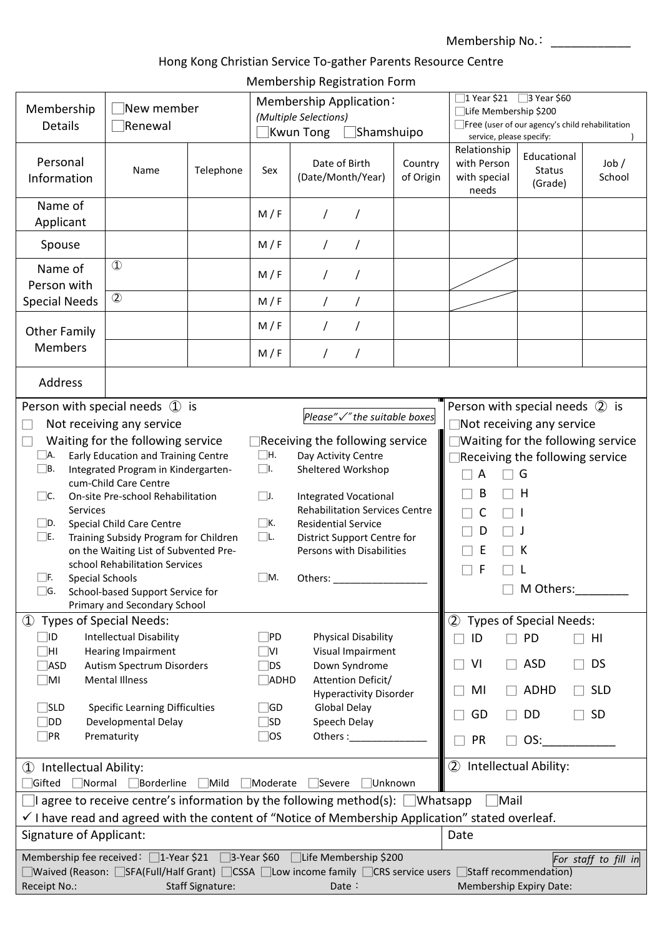Membership No.: \_\_\_\_\_\_\_\_\_\_\_\_\_

# Hong Kong Christian Service To-gather Parents Resource Centre

| Membership Registration Form |  |  |
|------------------------------|--|--|
|------------------------------|--|--|

| Membership<br>Details                                                                                                                                                                                                                                                                                                                                                                                                                                                                                                                                                                                                                                                                                                                                                                                                                                                                                                                                                                             | New member<br>Renewal                                                                   |           | Membership Application:<br>(Multiple Selections)<br>Shamshuipo<br>Kwun Tong |                                               |                                        | $\Box$ 1 Year \$21 $\Box$ 3 Year \$60<br>□Life Membership \$200<br>Free (user of our agency's child rehabilitation<br>service, please specify:                                                          |                                         |                 |  |
|---------------------------------------------------------------------------------------------------------------------------------------------------------------------------------------------------------------------------------------------------------------------------------------------------------------------------------------------------------------------------------------------------------------------------------------------------------------------------------------------------------------------------------------------------------------------------------------------------------------------------------------------------------------------------------------------------------------------------------------------------------------------------------------------------------------------------------------------------------------------------------------------------------------------------------------------------------------------------------------------------|-----------------------------------------------------------------------------------------|-----------|-----------------------------------------------------------------------------|-----------------------------------------------|----------------------------------------|---------------------------------------------------------------------------------------------------------------------------------------------------------------------------------------------------------|-----------------------------------------|-----------------|--|
| Personal<br>Information                                                                                                                                                                                                                                                                                                                                                                                                                                                                                                                                                                                                                                                                                                                                                                                                                                                                                                                                                                           | Name                                                                                    | Telephone | Sex                                                                         | Date of Birth<br>(Date/Month/Year)            | Country<br>of Origin                   | Relationship<br>with Person<br>with special<br>needs                                                                                                                                                    | Educational<br><b>Status</b><br>(Grade) | Job /<br>School |  |
| Name of<br>Applicant                                                                                                                                                                                                                                                                                                                                                                                                                                                                                                                                                                                                                                                                                                                                                                                                                                                                                                                                                                              |                                                                                         |           | M/F                                                                         | 7                                             |                                        |                                                                                                                                                                                                         |                                         |                 |  |
| Spouse                                                                                                                                                                                                                                                                                                                                                                                                                                                                                                                                                                                                                                                                                                                                                                                                                                                                                                                                                                                            |                                                                                         |           | M/F                                                                         |                                               |                                        |                                                                                                                                                                                                         |                                         |                 |  |
| Name of<br>Person with                                                                                                                                                                                                                                                                                                                                                                                                                                                                                                                                                                                                                                                                                                                                                                                                                                                                                                                                                                            | $\mathbf D$                                                                             |           | M/F                                                                         |                                               |                                        |                                                                                                                                                                                                         |                                         |                 |  |
| <b>Special Needs</b>                                                                                                                                                                                                                                                                                                                                                                                                                                                                                                                                                                                                                                                                                                                                                                                                                                                                                                                                                                              | $\circled{2}$                                                                           |           | M/F                                                                         |                                               |                                        |                                                                                                                                                                                                         |                                         |                 |  |
| <b>Other Family</b>                                                                                                                                                                                                                                                                                                                                                                                                                                                                                                                                                                                                                                                                                                                                                                                                                                                                                                                                                                               |                                                                                         |           | M/F                                                                         |                                               |                                        |                                                                                                                                                                                                         |                                         |                 |  |
| <b>Members</b>                                                                                                                                                                                                                                                                                                                                                                                                                                                                                                                                                                                                                                                                                                                                                                                                                                                                                                                                                                                    |                                                                                         |           | M/F                                                                         |                                               |                                        |                                                                                                                                                                                                         |                                         |                 |  |
| Address                                                                                                                                                                                                                                                                                                                                                                                                                                                                                                                                                                                                                                                                                                                                                                                                                                                                                                                                                                                           |                                                                                         |           |                                                                             |                                               |                                        |                                                                                                                                                                                                         |                                         |                 |  |
| Person with special needs $\mathbb Q$ is<br>Please"√" the suitable boxes<br>Not receiving any service<br>Waiting for the following service<br>Receiving the following service<br>Early Education and Training Centre<br>$\square$ H.<br>Day Activity Centre<br>ヿA.<br>$\square$ l.<br>$\Box$ B.<br>Integrated Program in Kindergarten-<br>Sheltered Workshop<br>cum-Child Care Centre<br>On-site Pre-school Rehabilitation<br>$\Box$ J.<br><b>Integrated Vocational</b><br>$\vert$ IC.<br><b>Rehabilitation Services Centre</b><br><b>Services</b><br>$\Box$ K.<br>∐D.<br>Special Child Care Centre<br><b>Residential Service</b><br>$\square$ L.<br>$\square$ e.<br>Training Subsidy Program for Children<br>District Support Centre for<br>on the Waiting List of Subvented Pre-<br>Persons with Disabilities<br>school Rehabilitation Services<br>$\Box$ M.<br><b>Special Schools</b><br>$\Box$ F.<br>Others:<br>$\Box$ G.<br>School-based Support Service for<br>Primary and Secondary School |                                                                                         |           |                                                                             |                                               |                                        | Person with special needs 2 is<br>Not receiving any service<br>Waiting for the following service<br>Receiving the following service<br>G<br>А<br>В<br>H<br>C<br>D<br>E<br>к<br>F<br>M Others:__________ |                                         |                 |  |
| 1 Types of Special Needs:<br>∏D                                                                                                                                                                                                                                                                                                                                                                                                                                                                                                                                                                                                                                                                                                                                                                                                                                                                                                                                                                   | <b>Intellectual Disability</b>                                                          |           | $\Box$ PD                                                                   | Physical Disability                           |                                        | 2 Types of Special Needs:<br>ID<br>$\mathcal{L}$                                                                                                                                                        | <b>PD</b>                               | HI              |  |
| $\exists$ HI                                                                                                                                                                                                                                                                                                                                                                                                                                                                                                                                                                                                                                                                                                                                                                                                                                                                                                                                                                                      | <b>Hearing Impairment</b>                                                               |           | $\Box$ VI<br>Visual Impairment                                              |                                               |                                        | VI<br>$\blacksquare$                                                                                                                                                                                    | <b>ASD</b>                              | <b>DS</b>       |  |
| $\neg$ ASD<br>$\blacksquare$                                                                                                                                                                                                                                                                                                                                                                                                                                                                                                                                                                                                                                                                                                                                                                                                                                                                                                                                                                      | Autism Spectrum Disorders<br><b>Mental Illness</b>                                      |           | $\Box$ DS<br>$\Box$ ADHD                                                    | Down Syndrome<br>Attention Deficit/           |                                        |                                                                                                                                                                                                         |                                         |                 |  |
| $\exists$ sld                                                                                                                                                                                                                                                                                                                                                                                                                                                                                                                                                                                                                                                                                                                                                                                                                                                                                                                                                                                     | <b>Specific Learning Difficulties</b>                                                   |           | $\Box$ GD                                                                   | <b>Hyperactivity Disorder</b><br>Global Delay |                                        | MI<br>$\blacksquare$                                                                                                                                                                                    | ADHD                                    | <b>SLD</b>      |  |
| $\Box$ DD<br>$\exists$ PR                                                                                                                                                                                                                                                                                                                                                                                                                                                                                                                                                                                                                                                                                                                                                                                                                                                                                                                                                                         | Developmental Delay<br>$\Box$ SD<br>Speech Delay<br>Prematurity<br>$\Box$ os<br>Others: |           |                                                                             | GD<br>×                                       | DD                                     | SD                                                                                                                                                                                                      |                                         |                 |  |
|                                                                                                                                                                                                                                                                                                                                                                                                                                                                                                                                                                                                                                                                                                                                                                                                                                                                                                                                                                                                   |                                                                                         |           |                                                                             |                                               |                                        | PR                                                                                                                                                                                                      | OS:                                     |                 |  |
| 1 Intellectual Ability:<br>Normal Borderline<br>∣Gifted<br>Mild<br>Unknown<br>Moderate<br>Severe                                                                                                                                                                                                                                                                                                                                                                                                                                                                                                                                                                                                                                                                                                                                                                                                                                                                                                  |                                                                                         |           |                                                                             |                                               | Intellectual Ability:<br>$\circled{2}$ |                                                                                                                                                                                                         |                                         |                 |  |
| $\Box$ I agree to receive centre's information by the following method(s): $\Box$ Whatsapp<br><b>Mail</b>                                                                                                                                                                                                                                                                                                                                                                                                                                                                                                                                                                                                                                                                                                                                                                                                                                                                                         |                                                                                         |           |                                                                             |                                               |                                        |                                                                                                                                                                                                         |                                         |                 |  |
| $\checkmark$ I have read and agreed with the content of "Notice of Membership Application" stated overleaf.                                                                                                                                                                                                                                                                                                                                                                                                                                                                                                                                                                                                                                                                                                                                                                                                                                                                                       |                                                                                         |           |                                                                             |                                               |                                        |                                                                                                                                                                                                         |                                         |                 |  |
| Signature of Applicant:<br>Membership fee received: □1-Year \$21 □3-Year \$60 □Life Membership \$200                                                                                                                                                                                                                                                                                                                                                                                                                                                                                                                                                                                                                                                                                                                                                                                                                                                                                              |                                                                                         |           |                                                                             |                                               |                                        | Date                                                                                                                                                                                                    |                                         |                 |  |
| For staff to fill in<br>  Waived (Reason:   SFA(Full/Half Grant)   CSSA   Low income family   CRS service users   Staff recommendation)                                                                                                                                                                                                                                                                                                                                                                                                                                                                                                                                                                                                                                                                                                                                                                                                                                                           |                                                                                         |           |                                                                             |                                               |                                        |                                                                                                                                                                                                         |                                         |                 |  |
| Receipt No.:<br><b>Staff Signature:</b><br>Date $\colon$                                                                                                                                                                                                                                                                                                                                                                                                                                                                                                                                                                                                                                                                                                                                                                                                                                                                                                                                          |                                                                                         |           |                                                                             |                                               |                                        | Membership Expiry Date:                                                                                                                                                                                 |                                         |                 |  |